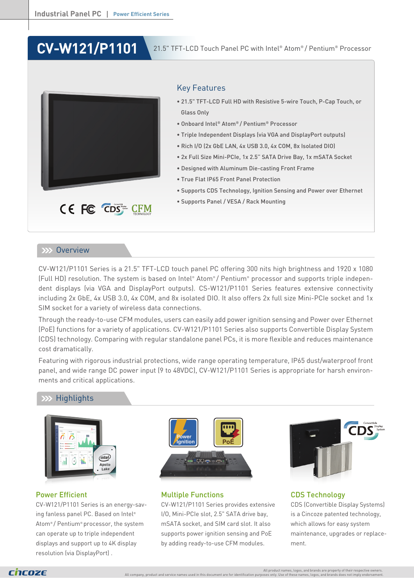# **CV-W121/P1101**



# Key Features

- 21.5" TFT-LCD Full HD with Resistive 5-wire Touch, P-Cap Touch, or Glass Only
- Onboard Intel® Atom® / Pentium® Processor
- Triple Independent Displays (via VGA and DisplayPort outputs)
- Rich I/O (2x GbE LAN, 4x USB 3.0, 4x COM, 8x Isolated DIO)
- 2x Full Size Mini-PCIe, 1x 2.5" SATA Drive Bay, 1x mSATA Socket
- Designed with Aluminum Die-casting Front Frame
- True Flat IP65 Front Panel Protection
- Supports CDS Technology, Ignition Sensing and Power over Ethernet
- Supports Panel / VESA / Rack Mounting

# **EXX Overview**

CV-W121/P1101 Series is a 21.5" TFT-LCD touch panel PC offering 300 nits high brightness and 1920 x 1080 (Full HD) resolution. The system is based on Intel® Atom® / Pentium® processor and supports triple independent displays (via VGA and DisplayPort outputs). CS-W121/P1101 Series features extensive connectivity including 2x GbE, 4x USB 3.0, 4x COM, and 8x isolated DIO. It also offers 2x full size Mini-PCIe socket and 1x SIM socket for a variety of wireless data connections.

Through the ready-to-use CFM modules, users can easily add power ignition sensing and Power over Ethernet (PoE) functions for a variety of applications. CV-W121/P1101 Series also supports Convertible Display System (CDS) technology. Comparing with regular standalone panel PCs, it is more flexible and reduces maintenance cost dramatically.

Featuring with rigorous industrial protections, wide range operating temperature, IP65 dust/waterproof front panel, and wide range DC power input (9 to 48VDC), CV-W121/P1101 Series is appropriate for harsh environments and critical applications.

# **Highlights**



### Power Efficient

CV-W121/P1101 Series is an energy-saving fanless panel PC. Based on Intel® Atom® / Pentium® processor, the system can operate up to triple independent displays and support up to 4K display resolution (via DisplayPort) .



### Multiple Functions

CV-W121/P1101 Series provides extensive I/O, Mini-PCIe slot, 2.5" SATA drive bay, mSATA socket, and SIM card slot. It also supports power ignition sensing and PoE by adding ready-to-use CFM modules.



CDS Technology CDS (Convertible Display Systems) is a Cincoze patented technology, which allows for easy system maintenance, upgrades or replacement.

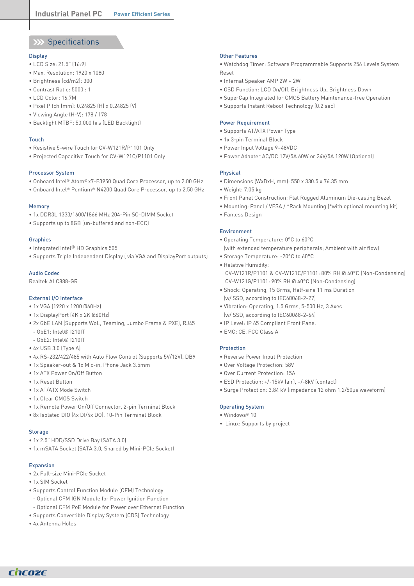# XX Specifications

#### **Display**

- LCD Size: 21.5" (16:9)
- Max. Resolution: 1920 x 1080
- Brightness (cd/m2): 300
- Contrast Ratio: 5000 : 1
- LCD Color: 16.7M
- Pixel Pitch (mm): 0.24825 (H) x 0.24825 (V)
- Viewing Angle (H-V): 178 / 178
- Backlight MTBF: 50,000 hrs (LED Backlight)

#### Touch

- Resistive 5-wire Touch for CV-W121R/P1101 Only
- Projected Capacitive Touch for CV-W121C/P1101 Only

#### Processor System

- Onboard Intel® Atom® x7-E3950 Quad Core Processor, up to 2.00 GHz
- Onboard Intel® Pentium® N4200 Quad Core Processor, up to 2.50 GHz

#### Memory

- 1x DDR3L 1333/1600/1866 MHz 204-Pin SO-DIMM Socket
- Supports up to 8GB (un-buffered and non-ECC)

#### **Graphics**

- Integrated Intel® HD Graphics 505
- Supports Triple Independent Display ( via VGA and DisplayPort outputs)

#### Audio Codec

Realtek ALC888-GR

#### External I/O Interface

- 1x VGA (1920 x 1200 @60Hz)
- 1x DisplayPort (4K x 2K @60Hz)
- 2x GbE LAN (Supports WoL, Teaming, Jumbo Frame & PXE), RJ45
- GbE1: Intel® I210IT
- GbE2: Intel® I210IT
- 4x USB 3.0 (Type A)
- 4x RS-232/422/485 with Auto Flow Control (Supports 5V/12V), DB9
- 1x Speaker-out & 1x Mic-in, Phone Jack 3.5mm
- 1x ATX Power On/Off Button
- 1x Reset Button
- 1x AT/ATX Mode Switch
- 1x Clear CMOS Switch
- 1x Remote Power On/Off Connector, 2-pin Terminal Block
- 8x Isolated DIO (4x DI/4x DO), 10-Pin Terminal Block

#### **Storage**

- 1x 2.5" HDD/SSD Drive Bay (SATA 3.0)
- 1x mSATA Socket (SATA 3.0, Shared by Mini-PCIe Socket)

#### Expansion

- 2x Full-size Mini-PCIe Socket
- 1x SIM Socket
- Supports Control Function Module (CFM) Technology
- Optional CFM IGN Module for Power Ignition Function
- Optional CFM PoE Module for Power over Ethernet Function
- Supports Convertible Display System (CDS) Technology
- 4x Antenna Holes

#### Other Features

• Watchdog Timer: Software Programmable Supports 256 Levels System Reset

- Internal Speaker AMP 2W + 2W
- OSD Function: LCD On/Off, Brightness Up, Brightness Down
- SuperCap Integrated for CMOS Battery Maintenance-free Operation
- Supports Instant Reboot Technology (0.2 sec)

#### Power Requirement

- Supports AT/ATX Power Type
- 1x 3-pin Terminal Block
- Power Input Voltage 9~48VDC
- Power Adapter AC/DC 12V/5A 60W or 24V/5A 120W (Optional)

#### Physical

- Dimensions (WxDxH, mm): 550 x 330.5 x 76.35 mm
- Weight: 7.05 kg
- Front Panel Construction: Flat Rugged Aluminum Die-casting Bezel
- Mounting: Panel / VESA / \*Rack Mounting (\*with optional mounting kit)
- Fanless Design

#### Environment

- Operating Temperature: 0°C to 60°C (with extended temperature peripherals; Ambient with air flow)
- Storage Temperature: -20°C to 60°C
- Relative Humidity: CV-W121R/P1101 & CV-W121C/P1101: 80% RH @ 40°C (Non-Condensing) CV-W121G/P1101: 90% RH @ 40°C (Non-Condensing)
- Shock: Operating, 15 Grms, Half-sine 11 ms Duration (w/ SSD, according to IEC60068-2-27)
- Vibration: Operating, 1.5 Grms, 5-500 Hz, 3 Axes (w/ SSD, according to IEC60068-2-64)
- IP Level: IP 65 Compliant Front Panel
- EMC: CE, FCC Class A

#### Protection

- Reverse Power Input Protection
- Over Voltage Protection: 58V
- Over Current Protection: 15A
- ESD Protection: +/-15kV (air), +/-8kV (contact)
- Surge Protection: 3.84 kV (impedance 12 ohm 1.2/50µs waveform)

#### Operating System

- Windows® 10
- Linux: Supports by project

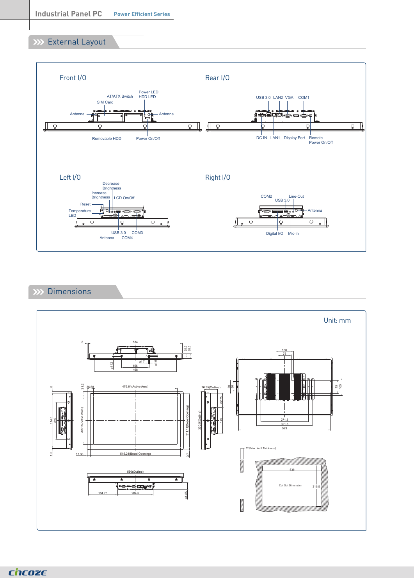# **XXX** External Layout



# XX Dimensions